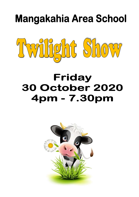# **Mangakahia Area School**



# **Friday 30 October 2020** 4pm - 7.30pm

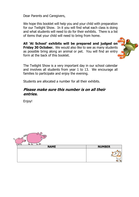Dear Parents and Caregivers,

We hope this booklet will help you and your child with preparation for our Twilight Show. In it you will find what each class is doing and what students will need to do for their exhibits. There is a list of items that your child will need to bring from home.

**All 'At School' exhibits will be prepared and judged on Friday 30 October.** We would also like to see as many students as possible bring along an animal or pet. You will find an entry form at the back of this booklet.

The Twilight Show is a very important day in our school calendar and involves all students from year 1 to 13. We encourage all families to participate and enjoy the evening.

Students are allocated a number for all their exhibits.

### **Please make sure this number is on all their entries.**

Enjoy!

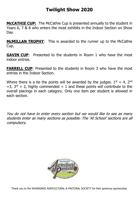# **Twilight Show 2020**

**MCCATHIE CUP:** The McCathie Cup is presented annually to the student in Years 6, 7 & 8 who enters the most exhibits in the Indoor Section on Show Day.

**McMILLAN TROPHY**: This is awarded to the runner up to the McCathie Cup.

**GAVIN CUP**: Presented to the students in Room 1 who have the most indoor entries.

**FARRELL CUP:** Presented to the students in Room 3 who have the most entries in the Indoor Section.

Where there is a tie the points will be awarded by the judges.  $1^{st} = 4$ ,  $2^{nd}$  $=$  3,  $3<sup>rd</sup>$  = 2, highly commended = 1 and these points will contribute to the overall placings in each category. Only one item per student is allowed in each section.

You do not have to enter every section but we would like to see as many students enter as many sections as possible. The 'At School' sections are all compulsory.

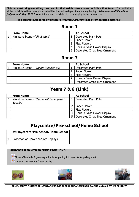**Children must bring everything they need for their exhibits from home on Friday 30 October.** They will take all their exhibits to their classrooms and will be directed to display them during the day. **All indoor exhibits will be judged on Friday 30 October.** Art work and exhibits will be on display in the classrooms**.** 

**The Wearable Art parade will feature 'Wearable Art Item' made from assorted materials.**

## **Room 1**

| <b>From Home</b>                       |   | <b>At School</b>             |
|----------------------------------------|---|------------------------------|
| Miniature Scene - ' <i>Birds Nest'</i> |   | <b>Decorated Plant Pots</b>  |
|                                        |   | Paper Flower                 |
|                                        |   | <b>Flax Flowers</b>          |
|                                        | 4 | Unusual Vase Flower Display  |
|                                        |   | Decorated Xmas Tree Ornament |

## **Room 3**

| <b>From Home</b>                      |   | <b>At School</b>             |
|---------------------------------------|---|------------------------------|
| Miniature Scene - Theme 'Spanish Flu' |   | <b>Decorated Plant Pots</b>  |
|                                       |   | Paper Flower                 |
|                                       |   | <b>Flax Flowers</b>          |
|                                       | 4 | Unusual Vase Flower Display  |
|                                       |   | Decorated Xmas Tree Ornament |

# **Years 7 & 8 (Link)**

| <b>From Home</b>                                   |   | <b>At School</b>             |
|----------------------------------------------------|---|------------------------------|
| Miniature Scene - Theme 'NZ Endangered<br>Species' |   | <b>Decorated Plant Pots</b>  |
|                                                    |   | Paper Flower                 |
|                                                    |   | <b>Flax Flowers</b>          |
|                                                    | 4 | Unusual Vase Flower Display  |
|                                                    |   | Decorated Xmas Tree Ornament |

# **Playcentre/Pre-school/Home School**

#### **At Playcentre/Pre-school/Home School**

1 Collection of Flower and Art Displays

#### **STUDENTS ALSO NEED TO BRING FROM HOME:**

Flowers/Roadside & greenery suitable for putting into vases & for pulling apart.

**Unusual container for flower display.** 







**REMEMBER TO NUMBER ALL CONTAINERS FOR FLORAL ARRANGEMENTS, BAKING AND ALL OTHER EXHIBITS**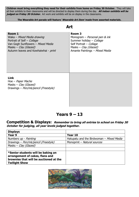**Children must bring everything they need for their exhibits from home on Friday 30 October.** They will take all their exhibits to their classrooms and will be directed to display them during the day. **All indoor exhibits will be judged on Friday 30 October.** Art work and exhibits will be on display in the classrooms.

**The Wearable Art parade will feature 'Wearable Art Item' made from assorted materials.**

**Art**

| Room 1                                                                                             | Room <sub>3</sub>              |  |
|----------------------------------------------------------------------------------------------------|--------------------------------|--|
| Waka — <i>Mixed Media drawing</i>                                                                  | Monogram – Personal pen & ink  |  |
| Portrait of Self – <i>Collage</i>                                                                  | Summer holiday - Collage       |  |
| Van Gogh Sunflowers – <i>Mixed Media</i>                                                           | Self Portrait - Collage        |  |
| Masks – <i>Clay (Glazed)</i>                                                                       | Masks – Clay (Glazed)          |  |
| Autumn leaves and Kowhaiwhai - <i>print</i>                                                        | Amante Paintings - Mixed Media |  |
| Link<br>Hoe – <i>Paper Mache</i><br>Masks – Clay (Glazed)<br>Drawings – Pen/ink/pencil (Freestyle) |                                |  |

# **Years 9 – 13**

#### **Competition & Displays: Remember to bring all entries to school on Friday 30 October for judging, all year levels judged together.**

| <b>Displays</b>                                                                                                                         |                                          |
|-----------------------------------------------------------------------------------------------------------------------------------------|------------------------------------------|
| Year 9                                                                                                                                  | Year 10                                  |
| Numbers up - Painting                                                                                                                   | Hatupatu and the Birdwoman - Mixed Media |
| Drawings - Pen/ink/pencil (Freestyle)                                                                                                   | Monoprint - Natural sources              |
| Masks – Clay (Glazed)                                                                                                                   |                                          |
|                                                                                                                                         |                                          |
| *Senior students will be baking an<br>arrangement of cakes, flans and<br>brownies that will be auctioned at the<br><b>Twilight Show</b> |                                          |

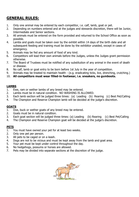## **GENERAL RULES:**

- 1. Only one animal may be entered by each competitor, i.e. calf, lamb, goat or pet.
- 2. Depending on numbers entered and at the judges and stewards discretion, there will be Junior, Intermediate and Senior sections.
- 3. All animals must be entered on the form provided and returned to the School Office as soon as possible.
- 4. Lambs and goats must be taken over by the exhibit within 14 days of the birth date and all subsequent feeding and training must be done by the exhibitor unaided, except in cases of emergency.
- 5. Animals may be fed any amount of food of any kind.
- 6. Competitors will lead their own animals before the Judges, unless the Judges grant permission otherwise.
- 7. The Board of Trustees must be notified of any substitution of any animal in the event of death or disease.
- 8. No calf, lamb or goat entry to be born before 1st July in the year of competition.
- 9. Animals may be treated to maintain health (e.g. eradicating ticks, lice, drenching, crutching.)
- 10. **All competitors must wear filled-in footwear, i.e. sneakers, no gumboots.**

#### **LAMBS**

- 1. Ewe, ram or wether lambs of any breed may be entered.
- 2. Lambs must be in natural condition. NO WASHING IS ALLOWED.
- 3. Each lamb section will be judged three times: (a) Leading (b) Rearing (c) Best Pet/Calling
- 4. The Champion and Reserve Champion lamb will be decided at the judge's discretion.

#### **GOATS**

- 1. Doe, buck or wether goats of any breed may be entered.
- 2. Goats must be in natural condition.
- 3. Each goat section will be judged three times: (a) Leading (b) Rearing (c) Best Pet/Calling
- 4. The Champion and Reserve Champion goat will be decided at the judge's discretion.

#### **PETS**

- 1. You must have owned your pet for at least two weeks.
- 2. Only one pet per person.
- 3. All pets to be caged or on a leash.
- 4. Dogs are not to be vicious and must be kept away from the lamb and goat area.
- 5. Your pet must be kept under control throughout the day.
- 6. No hedgehogs, possums or horses are allowed.
- 7. Pets may be divided into separate sections at the discretion of the judge.

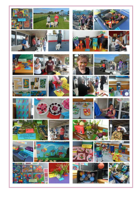



















































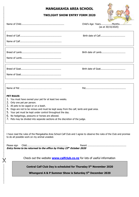### **MANGAKAHIA AREA SCHOOL**